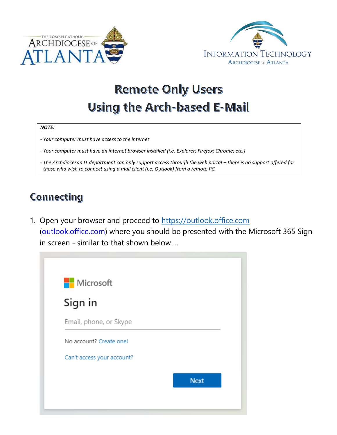



# **Remote Only Users Using the Arch-based E-Mail**

#### *NOTE:*

- *- Your computer must have access to the internet*
- *- Your computer must have an internet browser installed (i.e. Explorer; Firefox; Chrome; etc.)*
- *-* The Archdiocesan IT department can only support access through the web portal there is no support offered for *those who wish to connect using a mail client (i.e. Outlook) from a remote PC.*

### Connecting

1. Open your browser and proceed to [https://outlook.office.com](https://outlook.office.com/) (outlook.office.com) where you should be presented with the Microsoft 365 Sign in screen - similar to that shown below …

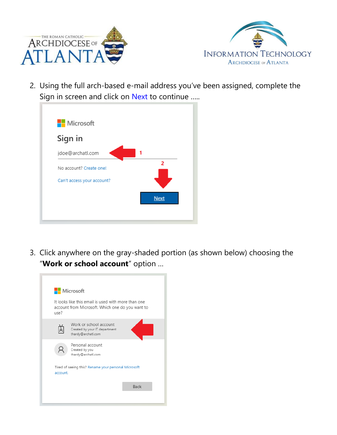



2. Using the full arch-based e-mail address you've been assigned, complete the Sign in screen and click on Next to continue …..



3. Click anywhere on the gray-shaded portion (as shown below) choosing the "**Work or school account**" option …

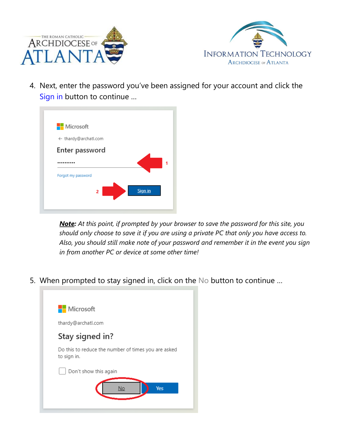



4. Next, enter the password you've been assigned for your account and click the Sign in button to continue …



*Note: At this point, if prompted by your browser to save the password for this site, you should only choose to save it if you are using a private PC that only you have access to. Also, you should still make note of your password and remember it in the event you sign in from another PC or device at some other time!* 

5. When prompted to stay signed in, click on the No button to continue …

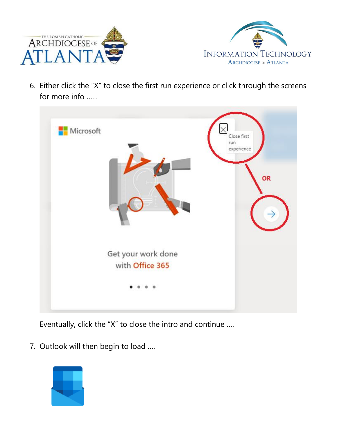



6. Either click the "X" to close the first run experience or click through the screens for more info ……



Eventually, click the "X" to close the intro and continue ….

7. Outlook will then begin to load ….

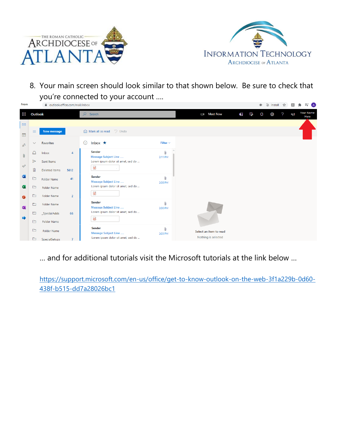



8. Your main screen should look similar to that shown below. Be sure to check that you're connected to your account ….



… and for additional tutorials visit the Microsoft tutorials at the link below …

[https://support.microsoft.com/en-us/office/get-to-know-outlook-on-the-web-3f1a229b-0d60-](https://support.microsoft.com/en-us/office/get-to-know-outlook-on-the-web-3f1a229b-0d60-438f-b515-dd7a28026bc1) [438f-b515-dd7a28026bc1](https://support.microsoft.com/en-us/office/get-to-know-outlook-on-the-web-3f1a229b-0d60-438f-b515-dd7a28026bc1)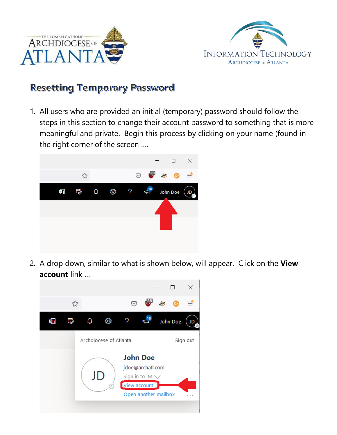



### **Resetting Temporary Password**

1. All users who are provided an initial (temporary) password should follow the steps in this section to change their account password to something that is more meaningful and private. Begin this process by clicking on your name (found in the right corner of the screen ….



2. A drop down, similar to what is shown below, will appear. Click on the **View account** link …

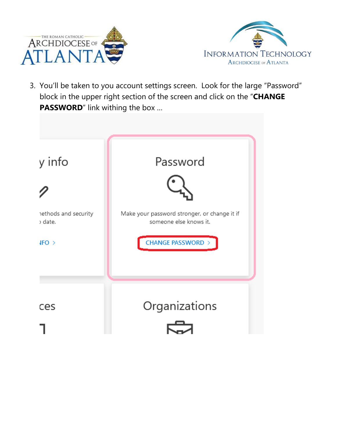



3. You'll be taken to you account settings screen. Look for the large "Password" block in the upper right section of the screen and click on the "**CHANGE PASSWORD**" link withing the box …

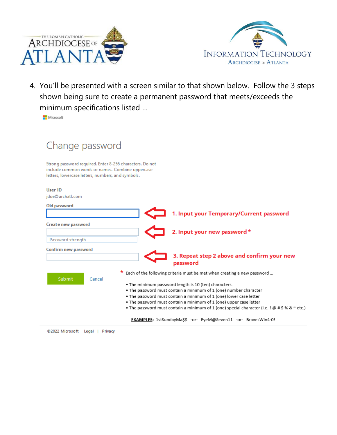



4. You'll be presented with a screen similar to that shown below. Follow the 3 steps shown being sure to create a permanent password that meets/exceeds the minimum specifications listed …

Microsoft

| Change password                                                                                                                                                                                                                                                                                                                                                                                                                                                        |
|------------------------------------------------------------------------------------------------------------------------------------------------------------------------------------------------------------------------------------------------------------------------------------------------------------------------------------------------------------------------------------------------------------------------------------------------------------------------|
| Strong password required. Enter 8-256 characters. Do not<br>include common words or names. Combine uppercase<br>letters, lowercase letters, numbers, and symbols.                                                                                                                                                                                                                                                                                                      |
| User ID<br>idoe@archatl.com                                                                                                                                                                                                                                                                                                                                                                                                                                            |
| Old password<br>1. Input your Temporary/Current password                                                                                                                                                                                                                                                                                                                                                                                                               |
| Create new password<br>2. Input your new password *<br>Password strength                                                                                                                                                                                                                                                                                                                                                                                               |
| Confirm new password<br>3. Repeat step 2 above and confirm your new<br>password                                                                                                                                                                                                                                                                                                                                                                                        |
| Each of the following criteria must be met when creating a new password<br>Submit<br>Cancel<br>. The minimum password length is 10 (ten) characters.<br>. The password must contain a minimum of 1 (one) number character<br>. The password must contain a minimum of 1 (one) lower case letter<br>. The password must contain a minimum of 1 (one) upper case letter<br>• The password must contain a minimum of 1 (one) special character (i.e. ! @ # \$ % & ~ etc.) |
| EXAMPLES: 1stSundayMa\$\$ -or- EyeM@Seven11 -or- BravesWin4-0!                                                                                                                                                                                                                                                                                                                                                                                                         |

©2022 Microsoft Legal | Privacy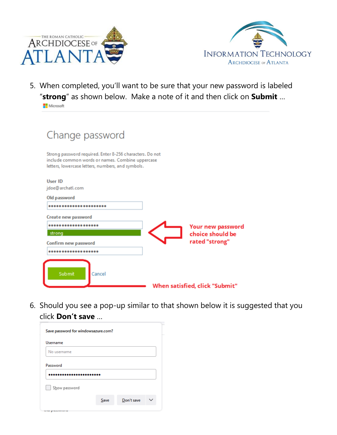



5. When completed, you'll want to be sure that your new password is labeled "**strong**" as shown below. Make a note of it and then click on **Submit** …

Microsoft

| Change password                                                                                                                                                   |                                |
|-------------------------------------------------------------------------------------------------------------------------------------------------------------------|--------------------------------|
| Strong password required. Enter 8-256 characters. Do not<br>include common words or names. Combine uppercase<br>letters, lowercase letters, numbers, and symbols. |                                |
| User ID<br>jdoe@archatl.com                                                                                                                                       |                                |
| Old password                                                                                                                                                      |                                |
|                                                                                                                                                                   |                                |
| Create new password                                                                                                                                               |                                |
|                                                                                                                                                                   | Your new password              |
| strong                                                                                                                                                            | choice should be               |
| Confirm new password                                                                                                                                              | rated "strong"                 |
|                                                                                                                                                                   |                                |
| <b>Submit</b><br>Cancel                                                                                                                                           |                                |
|                                                                                                                                                                   | When satisfied, click "Submit" |

6. Should you see a pop-up similar to that shown below it is suggested that you click **Don't save** …

| Save password for windowsazure.com? |      |            |              |  |  |
|-------------------------------------|------|------------|--------------|--|--|
| Username                            |      |            |              |  |  |
| No username                         |      |            |              |  |  |
| Password                            |      |            |              |  |  |
|                                     |      |            |              |  |  |
| Show password                       |      |            |              |  |  |
|                                     | Save | Don't save | $\checkmark$ |  |  |
| personal www.ca                     |      |            |              |  |  |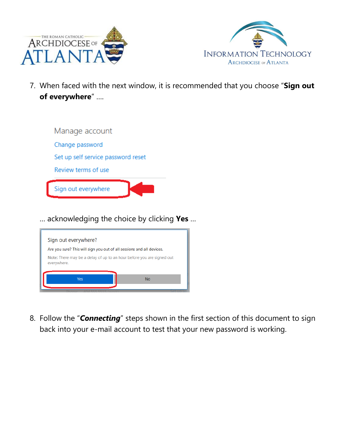



7. When faced with the next window, it is recommended that you choose "**Sign out of everywhere**" ….



… acknowledging the choice by clicking **Yes** …



8. Follow the "*Connecting*" steps shown in the first section of this document to sign back into your e-mail account to test that your new password is working.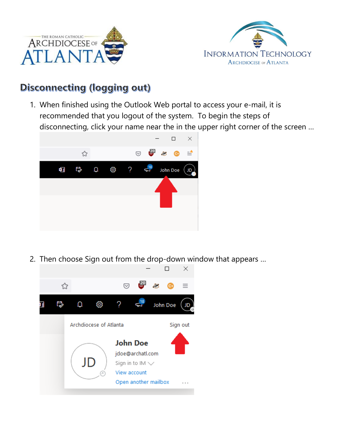



## **Disconnecting (logging out)**

1. When finished using the Outlook Web portal to access your e-mail, it is recommended that you logout of the system. To begin the steps of disconnecting, click your name near the in the upper right corner of the screen …



2. Then choose Sign out from the drop-down window that appears …